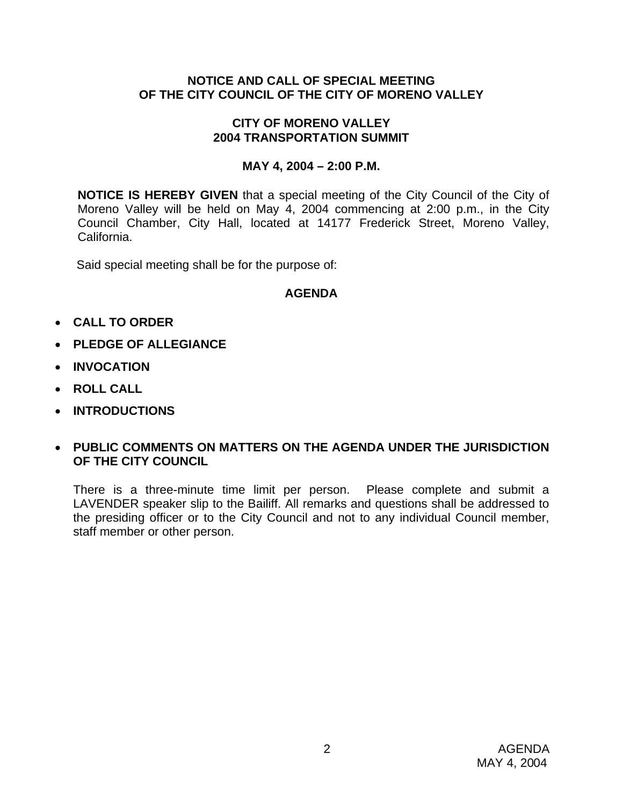#### **NOTICE AND CALL OF SPECIAL MEETING OF THE CITY COUNCIL OF THE CITY OF MORENO VALLEY**

#### **CITY OF MORENO VALLEY 2004 TRANSPORTATION SUMMIT**

#### **MAY 4, 2004 – 2:00 P.M.**

**NOTICE IS HEREBY GIVEN** that a special meeting of the City Council of the City of Moreno Valley will be held on May 4, 2004 commencing at 2:00 p.m., in the City Council Chamber, City Hall, located at 14177 Frederick Street, Moreno Valley, California.

Said special meeting shall be for the purpose of:

#### **AGENDA**

- **CALL TO ORDER**
- **PLEDGE OF ALLEGIANCE**
- **INVOCATION**
- **ROLL CALL**
- **INTRODUCTIONS**

## • **PUBLIC COMMENTS ON MATTERS ON THE AGENDA UNDER THE JURISDICTION OF THE CITY COUNCIL**

There is a three-minute time limit per person. Please complete and submit a LAVENDER speaker slip to the Bailiff. All remarks and questions shall be addressed to the presiding officer or to the City Council and not to any individual Council member, staff member or other person.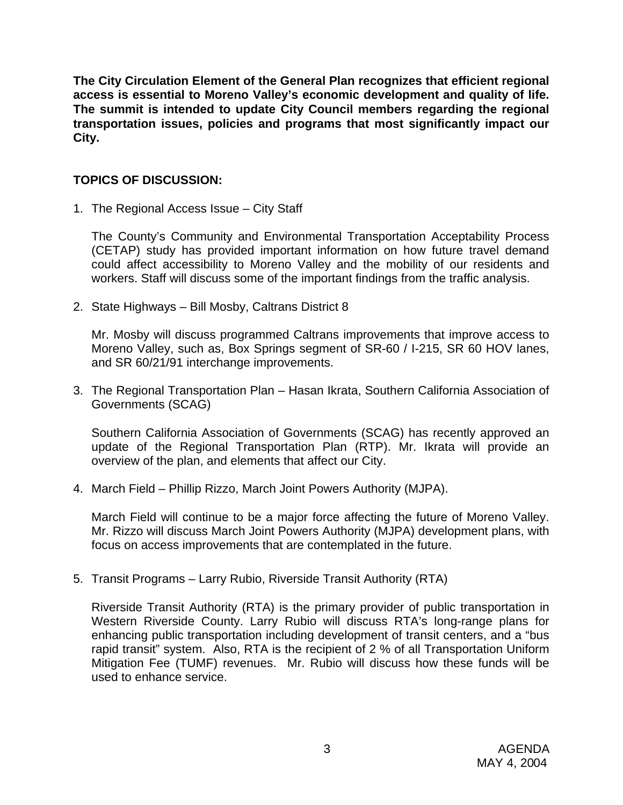**The City Circulation Element of the General Plan recognizes that efficient regional access is essential to Moreno Valley's economic development and quality of life. The summit is intended to update City Council members regarding the regional transportation issues, policies and programs that most significantly impact our City.** 

# **TOPICS OF DISCUSSION:**

1. The Regional Access Issue – City Staff

The County's Community and Environmental Transportation Acceptability Process (CETAP) study has provided important information on how future travel demand could affect accessibility to Moreno Valley and the mobility of our residents and workers. Staff will discuss some of the important findings from the traffic analysis.

2. State Highways – Bill Mosby, Caltrans District 8

Mr. Mosby will discuss programmed Caltrans improvements that improve access to Moreno Valley, such as, Box Springs segment of SR-60 / I-215, SR 60 HOV lanes, and SR 60/21/91 interchange improvements.

3. The Regional Transportation Plan – Hasan Ikrata, Southern California Association of Governments (SCAG)

Southern California Association of Governments (SCAG) has recently approved an update of the Regional Transportation Plan (RTP). Mr. Ikrata will provide an overview of the plan, and elements that affect our City.

4. March Field – Phillip Rizzo, March Joint Powers Authority (MJPA).

March Field will continue to be a major force affecting the future of Moreno Valley. Mr. Rizzo will discuss March Joint Powers Authority (MJPA) development plans, with focus on access improvements that are contemplated in the future.

5. Transit Programs – Larry Rubio, Riverside Transit Authority (RTA)

Riverside Transit Authority (RTA) is the primary provider of public transportation in Western Riverside County. Larry Rubio will discuss RTA's long-range plans for enhancing public transportation including development of transit centers, and a "bus rapid transit" system. Also, RTA is the recipient of 2 % of all Transportation Uniform Mitigation Fee (TUMF) revenues. Mr. Rubio will discuss how these funds will be used to enhance service.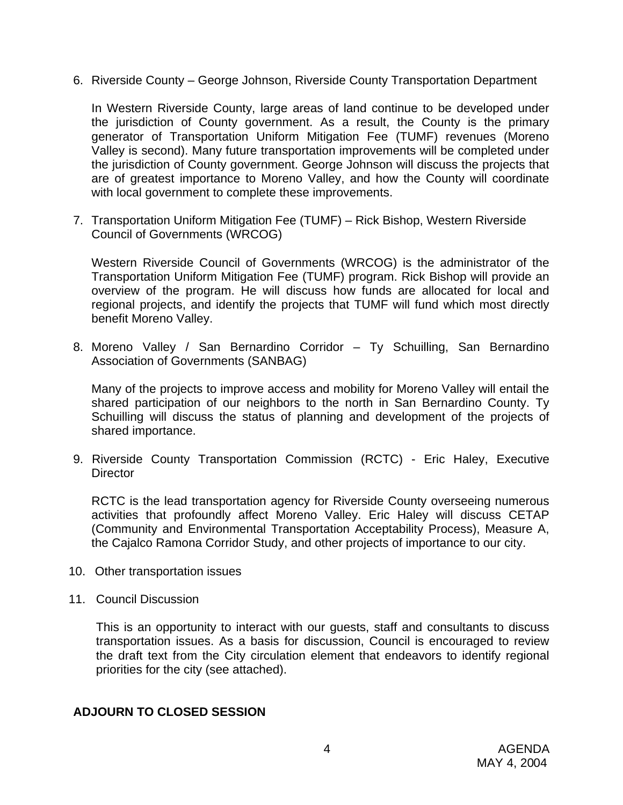6. Riverside County – George Johnson, Riverside County Transportation Department

In Western Riverside County, large areas of land continue to be developed under the jurisdiction of County government. As a result, the County is the primary generator of Transportation Uniform Mitigation Fee (TUMF) revenues (Moreno Valley is second). Many future transportation improvements will be completed under the jurisdiction of County government. George Johnson will discuss the projects that are of greatest importance to Moreno Valley, and how the County will coordinate with local government to complete these improvements.

7. Transportation Uniform Mitigation Fee (TUMF) – Rick Bishop, Western Riverside Council of Governments (WRCOG)

Western Riverside Council of Governments (WRCOG) is the administrator of the Transportation Uniform Mitigation Fee (TUMF) program. Rick Bishop will provide an overview of the program. He will discuss how funds are allocated for local and regional projects, and identify the projects that TUMF will fund which most directly benefit Moreno Valley.

8. Moreno Valley / San Bernardino Corridor – Ty Schuilling, San Bernardino Association of Governments (SANBAG)

Many of the projects to improve access and mobility for Moreno Valley will entail the shared participation of our neighbors to the north in San Bernardino County. Ty Schuilling will discuss the status of planning and development of the projects of shared importance.

9. Riverside County Transportation Commission (RCTC) - Eric Haley, Executive **Director** 

RCTC is the lead transportation agency for Riverside County overseeing numerous activities that profoundly affect Moreno Valley. Eric Haley will discuss CETAP (Community and Environmental Transportation Acceptability Process), Measure A, the Cajalco Ramona Corridor Study, and other projects of importance to our city.

- 10. Other transportation issues
- 11. Council Discussion

This is an opportunity to interact with our guests, staff and consultants to discuss transportation issues. As a basis for discussion, Council is encouraged to review the draft text from the City circulation element that endeavors to identify regional priorities for the city (see attached).

#### **ADJOURN TO CLOSED SESSION**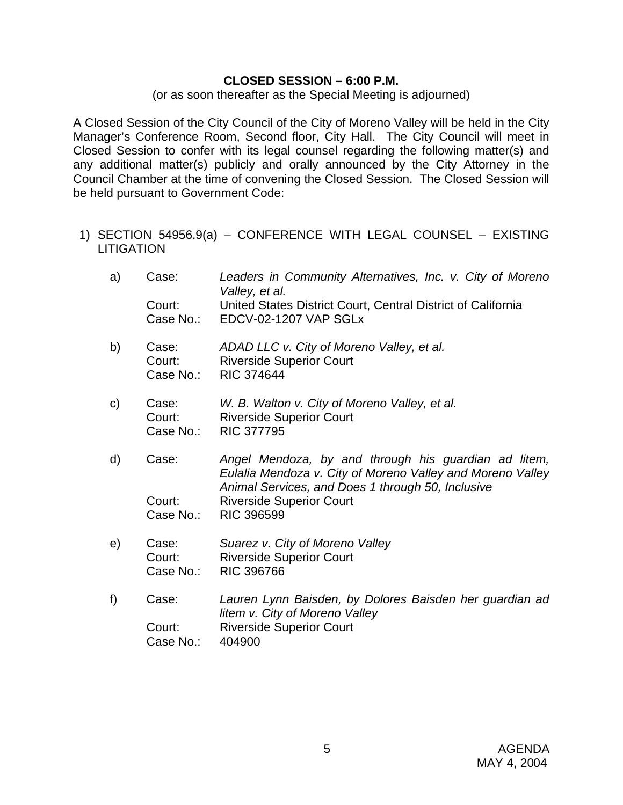#### **CLOSED SESSION – 6:00 P.M.**

(or as soon thereafter as the Special Meeting is adjourned)

A Closed Session of the City Council of the City of Moreno Valley will be held in the City Manager's Conference Room, Second floor, City Hall. The City Council will meet in Closed Session to confer with its legal counsel regarding the following matter(s) and any additional matter(s) publicly and orally announced by the City Attorney in the Council Chamber at the time of convening the Closed Session. The Closed Session will be held pursuant to Government Code:

- 1) SECTION 54956.9(a) CONFERENCE WITH LEGAL COUNSEL EXISTING **LITIGATION** 
	- a) Case: *Leaders in Community Alternatives, Inc. v. City of Moreno Valley, et al.*  Court: United States District Court, Central District of California Case No.: EDCV-02-1207 VAP SGLx
	- b) Case: *ADAD LLC v. City of Moreno Valley, et al.* Court: Riverside Superior Court Case No.: RIC 374644
	- c) Case: *W. B. Walton v. City of Moreno Valley, et al.*  Court: Riverside Superior Court Case No.: RIC 377795
	- d) Case: *Angel Mendoza, by and through his guardian ad litem, Eulalia Mendoza v. City of Moreno Valley and Moreno Valley Animal Services, and Does 1 through 50, Inclusive*  Court: Riverside Superior Court Case No.: RIC 396599
	- e) Case: *Suarez v. City of Moreno Valley*  Court: Riverside Superior Court Case No.: RIC 396766
	- f) Case: *Lauren Lynn Baisden, by Dolores Baisden her guardian ad litem v. City of Moreno Valley*  Court: Riverside Superior Court Case No.: 404900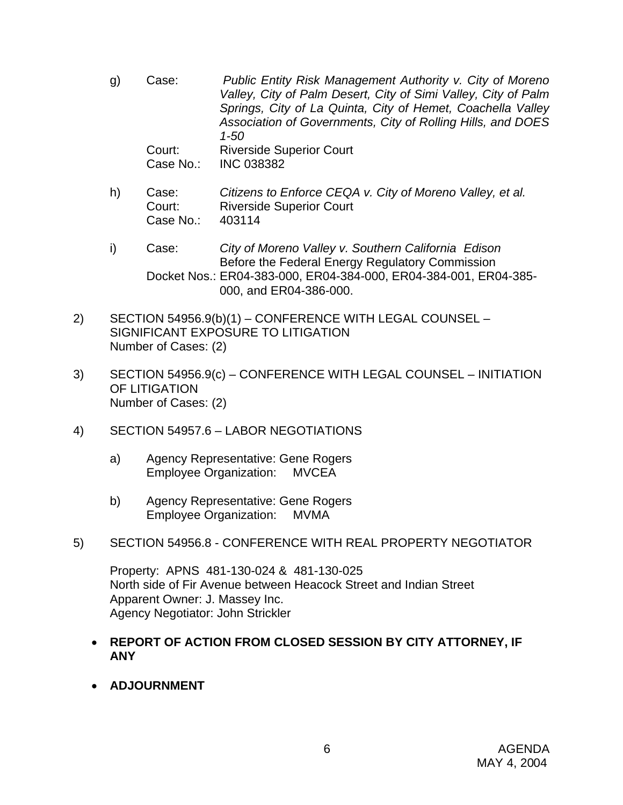- g) Case: *Public Entity Risk Management Authority v. City of Moreno Valley, City of Palm Desert, City of Simi Valley, City of Palm Springs, City of La Quinta, City of Hemet, Coachella Valley Association of Governments, City of Rolling Hills, and DOES 1-50* Court: Riverside Superior Court Case No.: INC 038382
- h) Case: *Citizens to Enforce CEQA v. City of Moreno Valley, et al.*  Court: Riverside Superior Court Case No.: 403114
- i) Case: *City of Moreno Valley v. Southern California Edison*  Before the Federal Energy Regulatory Commission Docket Nos.: ER04-383-000, ER04-384-000, ER04-384-001, ER04-385- 000, and ER04-386-000.
- 2) SECTION 54956.9(b)(1) CONFERENCE WITH LEGAL COUNSEL SIGNIFICANT EXPOSURE TO LITIGATION Number of Cases: (2)
- 3) SECTION 54956.9(c) CONFERENCE WITH LEGAL COUNSEL INITIATION OF LITIGATION Number of Cases: (2)
- 4) SECTION 54957.6 LABOR NEGOTIATIONS
	- a) Agency Representative: Gene Rogers Employee Organization: MVCEA
	- b) Agency Representative: Gene Rogers Employee Organization: MVMA
- 5) SECTION 54956.8 CONFERENCE WITH REAL PROPERTY NEGOTIATOR

Property: APNS 481-130-024 & 481-130-025 North side of Fir Avenue between Heacock Street and Indian Street Apparent Owner: J. Massey Inc. Agency Negotiator: John Strickler

- **REPORT OF ACTION FROM CLOSED SESSION BY CITY ATTORNEY, IF ANY**
- **ADJOURNMENT**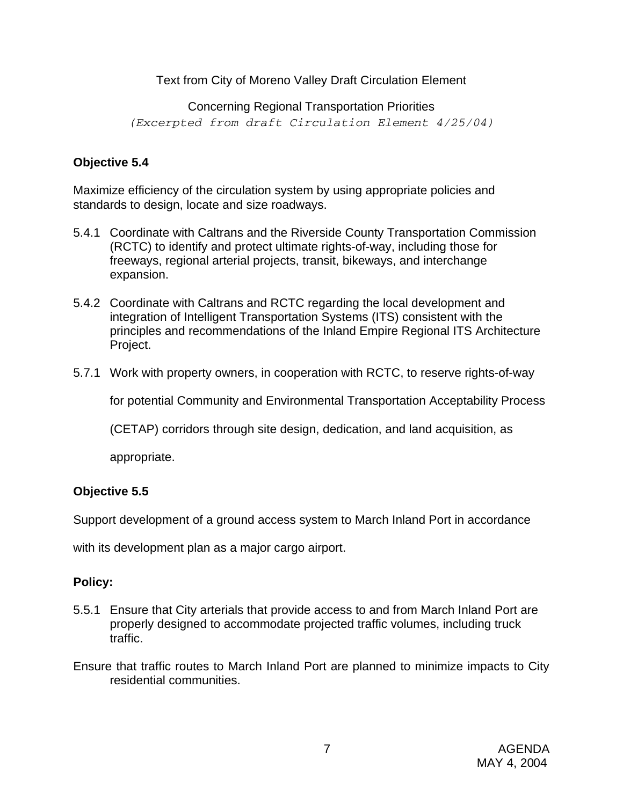## Text from City of Moreno Valley Draft Circulation Element

# Concerning Regional Transportation Priorities *(Excerpted from draft Circulation Element 4/25/04)*

# **Objective 5.4**

Maximize efficiency of the circulation system by using appropriate policies and standards to design, locate and size roadways.

- 5.4.1 Coordinate with Caltrans and the Riverside County Transportation Commission (RCTC) to identify and protect ultimate rights-of-way, including those for freeways, regional arterial projects, transit, bikeways, and interchange expansion.
- 5.4.2 Coordinate with Caltrans and RCTC regarding the local development and integration of Intelligent Transportation Systems (ITS) consistent with the principles and recommendations of the Inland Empire Regional ITS Architecture Project.
- 5.7.1 Work with property owners, in cooperation with RCTC, to reserve rights-of-way

for potential Community and Environmental Transportation Acceptability Process

(CETAP) corridors through site design, dedication, and land acquisition, as

appropriate.

## **Objective 5.5**

Support development of a ground access system to March Inland Port in accordance

with its development plan as a major cargo airport.

## **Policy:**

- 5.5.1 Ensure that City arterials that provide access to and from March Inland Port are properly designed to accommodate projected traffic volumes, including truck traffic.
- Ensure that traffic routes to March Inland Port are planned to minimize impacts to City residential communities.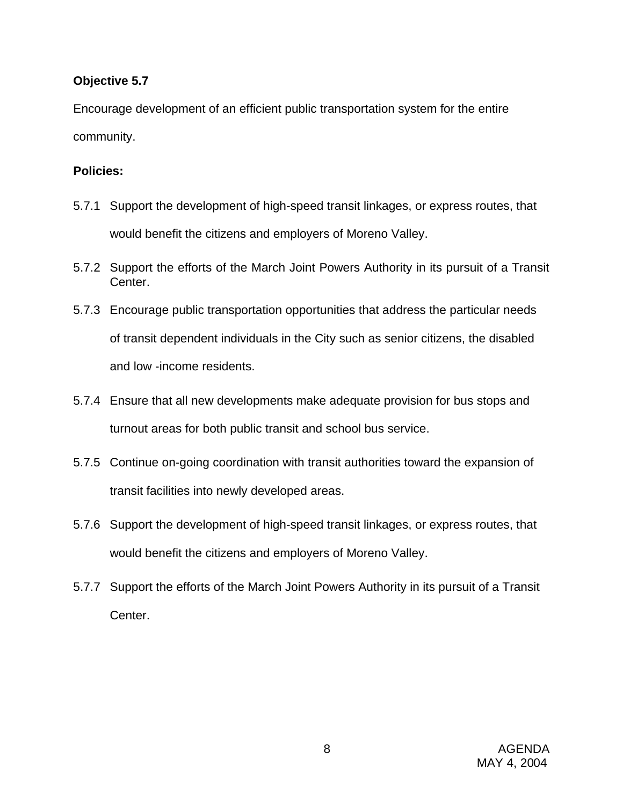#### **Objective 5.7**

Encourage development of an efficient public transportation system for the entire community.

# **Policies:**

- 5.7.1 Support the development of high-speed transit linkages, or express routes, that would benefit the citizens and employers of Moreno Valley.
- 5.7.2 Support the efforts of the March Joint Powers Authority in its pursuit of a Transit Center.
- 5.7.3 Encourage public transportation opportunities that address the particular needs of transit dependent individuals in the City such as senior citizens, the disabled and low -income residents.
- 5.7.4 Ensure that all new developments make adequate provision for bus stops and turnout areas for both public transit and school bus service.
- 5.7.5 Continue on-going coordination with transit authorities toward the expansion of transit facilities into newly developed areas.
- 5.7.6 Support the development of high-speed transit linkages, or express routes, that would benefit the citizens and employers of Moreno Valley.
- 5.7.7 Support the efforts of the March Joint Powers Authority in its pursuit of a Transit Center.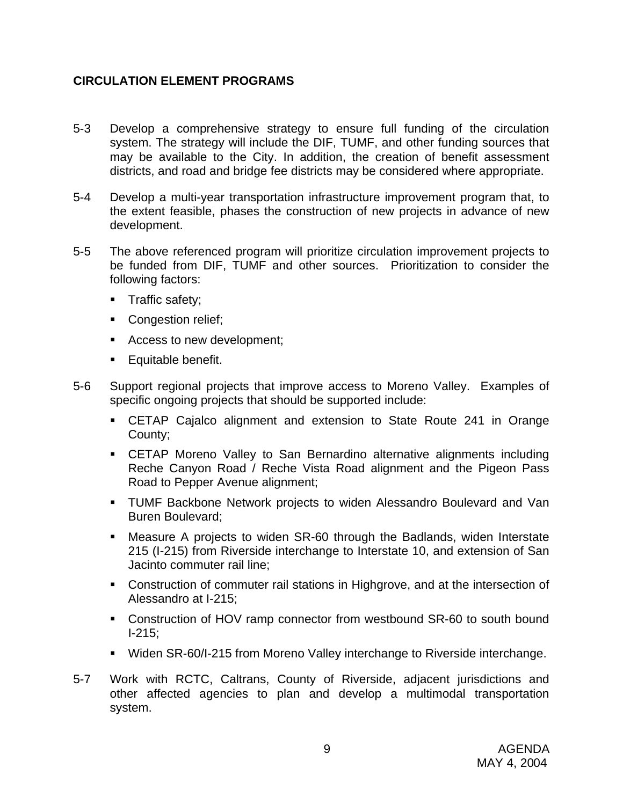# **CIRCULATION ELEMENT PROGRAMS**

- 5-3 Develop a comprehensive strategy to ensure full funding of the circulation system. The strategy will include the DIF, TUMF, and other funding sources that may be available to the City. In addition, the creation of benefit assessment districts, and road and bridge fee districts may be considered where appropriate.
- 5-4 Develop a multi-year transportation infrastructure improvement program that, to the extent feasible, phases the construction of new projects in advance of new development.
- 5-5 The above referenced program will prioritize circulation improvement projects to be funded from DIF, TUMF and other sources. Prioritization to consider the following factors:
	- **Traffic safety;**
	- Congestion relief;
	- Access to new development;
	- **Equitable benefit.**
- 5-6 Support regional projects that improve access to Moreno Valley. Examples of specific ongoing projects that should be supported include:
	- CETAP Cajalco alignment and extension to State Route 241 in Orange County;
	- CETAP Moreno Valley to San Bernardino alternative alignments including Reche Canyon Road / Reche Vista Road alignment and the Pigeon Pass Road to Pepper Avenue alignment;
	- **TUMF Backbone Network projects to widen Alessandro Boulevard and Van** Buren Boulevard;
	- Measure A projects to widen SR-60 through the Badlands, widen Interstate 215 (I-215) from Riverside interchange to Interstate 10, and extension of San Jacinto commuter rail line;
	- Construction of commuter rail stations in Highgrove, and at the intersection of Alessandro at I-215;
	- Construction of HOV ramp connector from westbound SR-60 to south bound I-215;
	- Widen SR-60/I-215 from Moreno Valley interchange to Riverside interchange.
- 5-7 Work with RCTC, Caltrans, County of Riverside, adjacent jurisdictions and other affected agencies to plan and develop a multimodal transportation system.